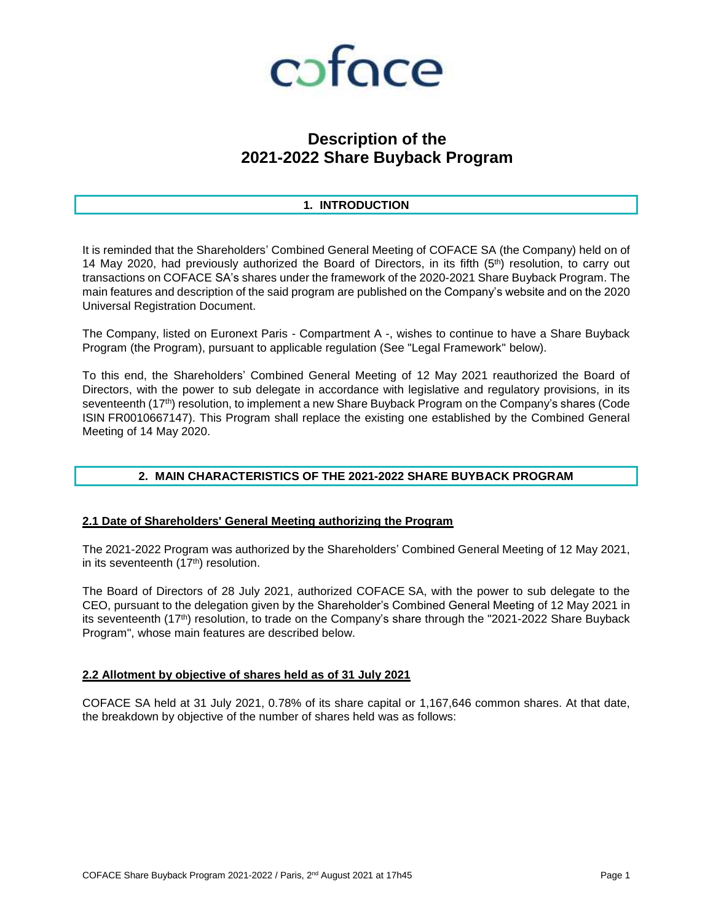

# **Description of the 2021-2022 Share Buyback Program**

# **1. INTRODUCTION**

It is reminded that the Shareholders' Combined General Meeting of COFACE SA (the Company) held on of 14 May 2020, had previously authorized the Board of Directors, in its fifth  $(5<sup>th</sup>)$  resolution, to carry out transactions on COFACE SA's shares under the framework of the 2020-2021 Share Buyback Program. The main features and description of the said program are published on the Company's website and on the 2020 Universal Registration Document.

The Company, listed on Euronext Paris - Compartment A -, wishes to continue to have a Share Buyback Program (the Program), pursuant to applicable regulation (See "Legal Framework" below).

To this end, the Shareholders' Combined General Meeting of 12 May 2021 reauthorized the Board of Directors, with the power to sub delegate in accordance with legislative and regulatory provisions, in its seventeenth (17<sup>th</sup>) resolution, to implement a new Share Buyback Program on the Company's shares (Code ISIN FR0010667147). This Program shall replace the existing one established by the Combined General Meeting of 14 May 2020.

# **2. MAIN CHARACTERISTICS OF THE 2021-2022 SHARE BUYBACK PROGRAM**

# **2.1 Date of Shareholders' General Meeting authorizing the Program**

The 2021-2022 Program was authorized by the Shareholders' Combined General Meeting of 12 May 2021, in its seventeenth (17<sup>th</sup>) resolution.

The Board of Directors of 28 July 2021, authorized COFACE SA, with the power to sub delegate to the CEO, pursuant to the delegation given by the Shareholder's Combined General Meeting of 12 May 2021 in its seventeenth (17<sup>th</sup>) resolution, to trade on the Company's share through the "2021-2022 Share Buyback Program", whose main features are described below.

# **2.2 Allotment by objective of shares held as of 31 July 2021**

COFACE SA held at 31 July 2021, 0.78% of its share capital or 1,167,646 common shares. At that date, the breakdown by objective of the number of shares held was as follows: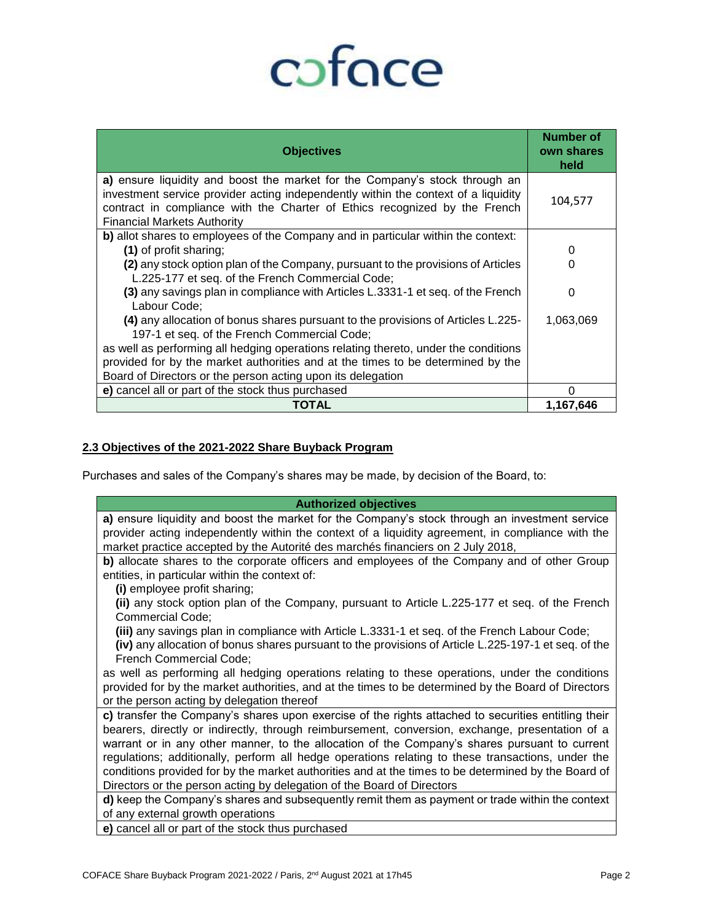# coface

| <b>Objectives</b>                                                                                                                                                                                                                                                                     | Number of<br>own shares<br>held |
|---------------------------------------------------------------------------------------------------------------------------------------------------------------------------------------------------------------------------------------------------------------------------------------|---------------------------------|
| a) ensure liquidity and boost the market for the Company's stock through an<br>investment service provider acting independently within the context of a liquidity<br>contract in compliance with the Charter of Ethics recognized by the French<br><b>Financial Markets Authority</b> | 104,577                         |
| b) allot shares to employees of the Company and in particular within the context:                                                                                                                                                                                                     |                                 |
| (1) of profit sharing;                                                                                                                                                                                                                                                                | 0                               |
| (2) any stock option plan of the Company, pursuant to the provisions of Articles<br>L.225-177 et seq. of the French Commercial Code;                                                                                                                                                  | 0                               |
| (3) any savings plan in compliance with Articles L.3331-1 et seq. of the French<br>Labour Code;                                                                                                                                                                                       | 0                               |
| (4) any allocation of bonus shares pursuant to the provisions of Articles L.225-<br>197-1 et seq. of the French Commercial Code;                                                                                                                                                      | 1,063,069                       |
| as well as performing all hedging operations relating thereto, under the conditions                                                                                                                                                                                                   |                                 |
| provided for by the market authorities and at the times to be determined by the                                                                                                                                                                                                       |                                 |
| Board of Directors or the person acting upon its delegation                                                                                                                                                                                                                           |                                 |
| e) cancel all or part of the stock thus purchased                                                                                                                                                                                                                                     |                                 |
| TOTAL                                                                                                                                                                                                                                                                                 | 1,167,646                       |

# **2.3 Objectives of the 2021-2022 Share Buyback Program**

Purchases and sales of the Company's shares may be made, by decision of the Board, to:

| <b>Authorized objectives</b>                                                                         |
|------------------------------------------------------------------------------------------------------|
| a) ensure liquidity and boost the market for the Company's stock through an investment service       |
| provider acting independently within the context of a liquidity agreement, in compliance with the    |
| market practice accepted by the Autorité des marchés financiers on 2 July 2018,                      |
| b) allocate shares to the corporate officers and employees of the Company and of other Group         |
| entities, in particular within the context of:                                                       |
| (i) employee profit sharing;                                                                         |
| (ii) any stock option plan of the Company, pursuant to Article L.225-177 et seq. of the French       |
| Commercial Code;                                                                                     |
| (iii) any savings plan in compliance with Article L.3331-1 et seq. of the French Labour Code;        |
| (iv) any allocation of bonus shares pursuant to the provisions of Article L.225-197-1 et seq. of the |
| French Commercial Code;                                                                              |
| as well as performing all hedging operations relating to these operations, under the conditions      |
| provided for by the market authorities, and at the times to be determined by the Board of Directors  |
| or the person acting by delegation thereof                                                           |
| c) transfer the Company's shares upon exercise of the rights attached to securities entitling their  |
| bearers, directly or indirectly, through reimbursement, conversion, exchange, presentation of a      |
| warrant or in any other manner, to the allocation of the Company's shares pursuant to current        |
| regulations; additionally, perform all hedge operations relating to these transactions, under the    |
| conditions provided for by the market authorities and at the times to be determined by the Board of  |
| Directors or the person acting by delegation of the Board of Directors                               |
| d) keep the Company's shares and subsequently remit them as payment or trade within the context      |
| of any external growth operations                                                                    |

**e)** cancel all or part of the stock thus purchased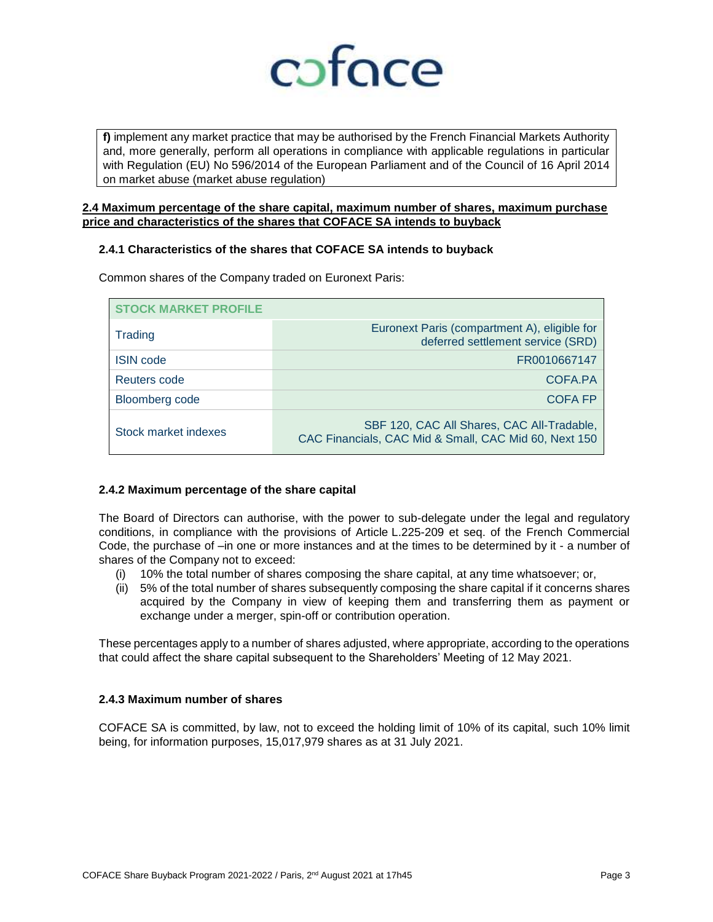

**f)** implement any market practice that may be authorised by the French Financial Markets Authority and, more generally, perform all operations in compliance with applicable regulations in particular with Regulation (EU) No 596/2014 of the European Parliament and of the Council of 16 April 2014 on market abuse (market abuse regulation)

# **2.4 Maximum percentage of the share capital, maximum number of shares, maximum purchase price and characteristics of the shares that COFACE SA intends to buyback**

# **2.4.1 Characteristics of the shares that COFACE SA intends to buyback**

| <b>STOCK MARKET PROFILE</b> |                                                                                                     |
|-----------------------------|-----------------------------------------------------------------------------------------------------|
| Trading                     | Euronext Paris (compartment A), eligible for<br>deferred settlement service (SRD)                   |
| <b>ISIN</b> code            | FR0010667147                                                                                        |
| Reuters code                | COFA.PA                                                                                             |
| <b>Bloomberg code</b>       | <b>COFA FP</b>                                                                                      |
| Stock market indexes        | SBF 120, CAC All Shares, CAC All-Tradable,<br>CAC Financials, CAC Mid & Small, CAC Mid 60, Next 150 |

Common shares of the Company traded on Euronext Paris:

# **2.4.2 Maximum percentage of the share capital**

The Board of Directors can authorise, with the power to sub-delegate under the legal and regulatory conditions, in compliance with the provisions of Article L.225-209 et seq. of the French Commercial Code, the purchase of –in one or more instances and at the times to be determined by it - a number of shares of the Company not to exceed:

- (i) 10% the total number of shares composing the share capital, at any time whatsoever; or,
- (ii) 5% of the total number of shares subsequently composing the share capital if it concerns shares acquired by the Company in view of keeping them and transferring them as payment or exchange under a merger, spin-off or contribution operation.

These percentages apply to a number of shares adjusted, where appropriate, according to the operations that could affect the share capital subsequent to the Shareholders' Meeting of 12 May 2021.

# **2.4.3 Maximum number of shares**

COFACE SA is committed, by law, not to exceed the holding limit of 10% of its capital, such 10% limit being, for information purposes, 15,017,979 shares as at 31 July 2021.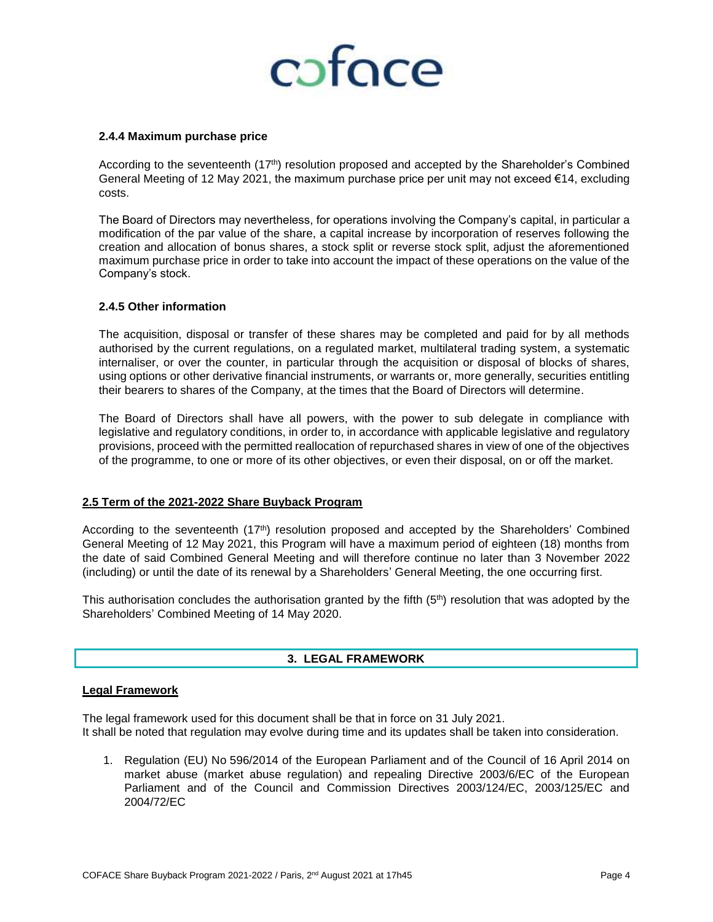

#### **2.4.4 Maximum purchase price**

According to the seventeenth (17<sup>th</sup>) resolution proposed and accepted by the Shareholder's Combined General Meeting of 12 May 2021, the maximum purchase price per unit may not exceed €14, excluding costs.

The Board of Directors may nevertheless, for operations involving the Company's capital, in particular a modification of the par value of the share, a capital increase by incorporation of reserves following the creation and allocation of bonus shares, a stock split or reverse stock split, adjust the aforementioned maximum purchase price in order to take into account the impact of these operations on the value of the Company's stock.

#### **2.4.5 Other information**

The acquisition, disposal or transfer of these shares may be completed and paid for by all methods authorised by the current regulations, on a regulated market, multilateral trading system, a systematic internaliser, or over the counter, in particular through the acquisition or disposal of blocks of shares, using options or other derivative financial instruments, or warrants or, more generally, securities entitling their bearers to shares of the Company, at the times that the Board of Directors will determine.

The Board of Directors shall have all powers, with the power to sub delegate in compliance with legislative and regulatory conditions, in order to, in accordance with applicable legislative and regulatory provisions, proceed with the permitted reallocation of repurchased shares in view of one of the objectives of the programme, to one or more of its other objectives, or even their disposal, on or off the market.

# **2.5 Term of the 2021-2022 Share Buyback Program**

According to the seventeenth (17th) resolution proposed and accepted by the Shareholders' Combined General Meeting of 12 May 2021, this Program will have a maximum period of eighteen (18) months from the date of said Combined General Meeting and will therefore continue no later than 3 November 2022 (including) or until the date of its renewal by a Shareholders' General Meeting, the one occurring first.

This authorisation concludes the authorisation granted by the fifth  $(5<sup>th</sup>)$  resolution that was adopted by the Shareholders' Combined Meeting of 14 May 2020.

# **3. LEGAL FRAMEWORK**

#### **Legal Framework**

The legal framework used for this document shall be that in force on 31 July 2021. It shall be noted that regulation may evolve during time and its updates shall be taken into consideration.

1. Regulation (EU) No 596/2014 of the European Parliament and of the Council of 16 April 2014 on market abuse (market abuse regulation) and repealing Directive 2003/6/EC of the European Parliament and of the Council and Commission Directives 2003/124/EC, 2003/125/EC and 2004/72/EC